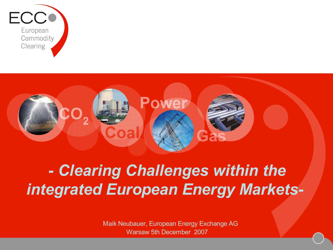



# *- Clearing Challenges within the integrated European Energy Markets-*

 Maik Neubauer, European Energy Exchange AG Warsaw 5th December 2007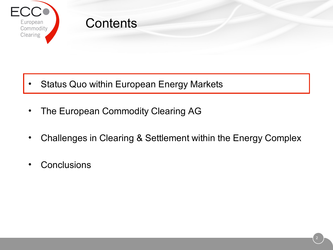

- Status Quo within European Energy Markets
- The European Commodity Clearing AG
- Challenges in Clearing & Settlement within the Energy Complex
- Conclusions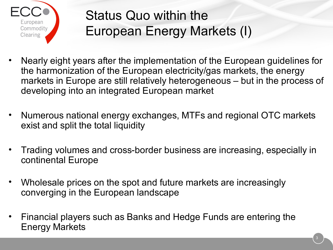

## Status Quo within the European Energy Markets (I)

- Nearly eight years after the implementation of the European guidelines for the harmonization of the European electricity/gas markets, the energy markets in Europe are still relatively heterogeneous – but in the process of developing into an integrated European market
- Numerous national energy exchanges, MTFs and regional OTC markets exist and split the total liquidity
- Trading volumes and cross-border business are increasing, especially in continental Europe
- Wholesale prices on the spot and future markets are increasingly converging in the European landscape
- Financial players such as Banks and Hedge Funds are entering the Energy Markets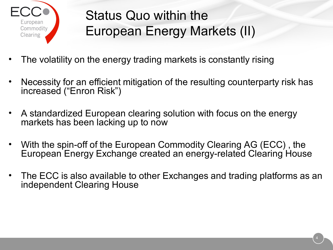

## Status Quo within the European Energy Markets (II)

- The volatility on the energy trading markets is constantly rising
- Necessity for an efficient mitigation of the resulting counterparty risk has increased ("Enron Risk")
- A standardized European clearing solution with focus on the energy markets has been lacking up to now
- With the spin-off of the European Commodity Clearing AG (ECC) , the European Energy Exchange created an energy-related Clearing House
- The ECC is also available to other Exchanges and trading platforms as an independent Clearing House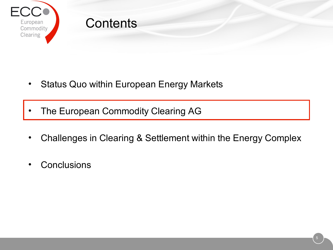

- Status Quo within European Energy Markets
- The European Commodity Clearing AG
- Challenges in Clearing & Settlement within the Energy Complex
- Conclusions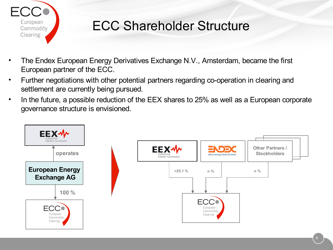

### ECC Shareholder Structure

- The Endex European Energy Derivatives Exchange N.V., Amsterdam, became the first European partner of the ECC.
- Further negotiations with other potential partners regarding co-operation in clearing and settlement are currently being pursued.
- In the future, a possible reduction of the EEX shares to 25% as well as a European corporate governance structure is envisioned.

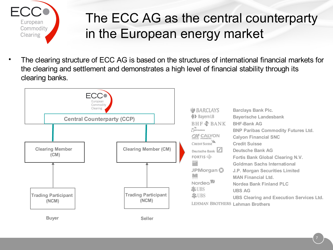

### The ECC AG as the central counterparty in the European energy market

• The clearing structure of ECC AG is based on the structures of international financial markets for the clearing and settlement and demonstrates a high level of financial stability through its clearing banks.

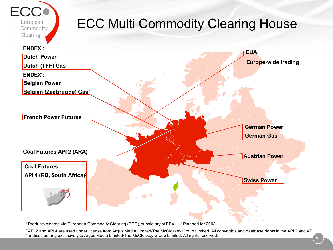

<sup>1</sup> Products cleared via European Commodity Clearing (ECC), subsidiary of EEX <sup>2</sup> Planned for 2008

<sup>2</sup> API 2 and API 4 are used under license from Argus Media Limited/The McCloskey Group Limited. All copyrights and database rights in the API 2 and API 4 indices belong exclusively to Argus Media Limited/The McCloskey Group Limited. All rights reserved.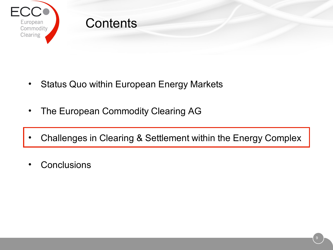

- Status Quo within European Energy Markets
- The European Commodity Clearing AG
- Challenges in Clearing & Settlement within the Energy Complex
- **Conclusions**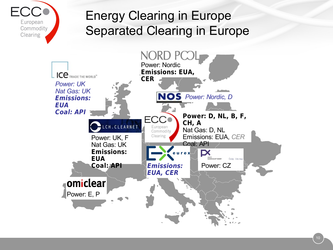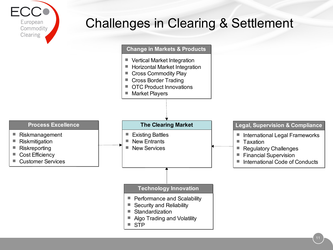

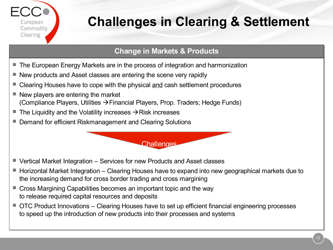

### **Change in Markets & Products**

- The European Energy Markets are in the process of integration and harmonization
- New products and Asset classes are entering the scene very rapidly
- Clearing Houses have to cope with the physical and cash settlement procedures
- $\blacksquare$  New players are entering the market (Compliance Players, Utilities  $\rightarrow$  Financial Players, Prop. Traders; Hedge Funds)
- $\blacksquare$  The Liquidity and the Volatility increases  $\rightarrow$  Risk increases
- Demand for efficient Riskmanagement and Clearing Solutions

■ Vertical Market Integration – Services for new Products and Asset classes

 $\blacksquare$  Horizontal Market Integration – Clearing Houses have to expand into new geographical markets due to the increasing demand for cross border trading and cross margining

**Challenges** 

- Cross Margining Capabilities becomes an important topic and the way to release required capital resources and deposits
- OTC Product Innovations Clearing Houses have to set up efficient financial engineering processes to speed up the introduction of new products into their processes and systems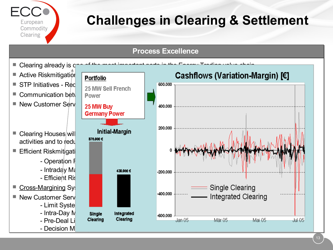

#### **Process Excellence**

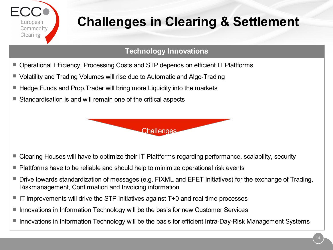

### **Technology Innovations**

- Operational Efficiency, Processing Costs and STP depends on efficient IT Plattforms
- Volatility and Trading Volumes will rise due to Automatic and Algo-Trading
- $\blacksquare$  Hedge Funds and Prop. Trader will bring more Liquidity into the markets
- Standardisation is and will remain one of the critical aspects



- Clearing Houses will have to optimize their IT-Plattforms regarding performance, scalability, security
- Plattforms have to be reliable and should help to minimize operational risk events
- Drive towards standardization of messages (e.g. FIXML and EFET Initiatives) for the exchange of Trading, Riskmanagement, Confirmation and Invoicing information
- IT improvements will drive the STP Initiatives against T+0 and real-time processes
- Innovations in Information Technology will be the basis for new Customer Services
- Innovations in Information Technology will be the basis for efficient Intra-Day-Risk Management Systems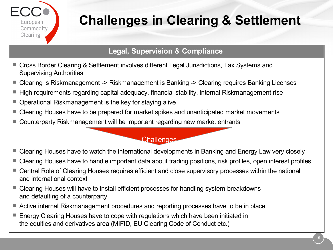

### **Legal, Supervision & Compliance**

- Cross Border Clearing & Settlement involves different Legal Jurisdictions, Tax Systems and Supervising Authorities
- Clearing is Riskmanagement -> Riskmanagement is Banking -> Clearing requires Banking Licenses
- $\blacksquare$  High requirements regarding capital adequacy, financial stability, internal Riskmanagement rise
- Operational Riskmanagement is the key for staying alive
- Clearing Houses have to be prepared for market spikes and unanticipated market movements
- Counterparty Riskmanagement will be important regarding new market entrants

#### **Challenges**

- Clearing Houses have to watch the international developments in Banking and Energy Law very closely
- Clearing Houses have to handle important data about trading positions, risk profiles, open interest profiles
- Central Role of Clearing Houses requires efficient and close supervisory processes within the national and international context
- Clearing Houses will have to install efficient processes for handling system breakdowns and defaulting of a counterparty
- Active internal Riskmanagement procedures and reporting processes have to be in place
- Energy Clearing Houses have to cope with regulations which have been initiated in the equities and derivatives area (MiFID, EU Clearing Code of Conduct etc.)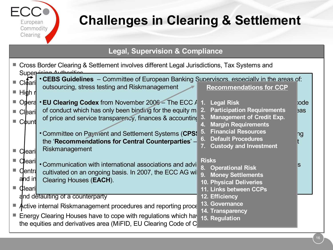

### **Legal, Supervision & Compliance**

| Cross Border Clearing & Settlement involves different Legal Jurisdictions, Tax Systems and<br>Super noing Authorities                                                                                                                     |                                                                                                                                                 |                                                                                                                         |       |
|-------------------------------------------------------------------------------------------------------------------------------------------------------------------------------------------------------------------------------------------|-------------------------------------------------------------------------------------------------------------------------------------------------|-------------------------------------------------------------------------------------------------------------------------|-------|
| <b>Cleari</b><br>High n                                                                                                                                                                                                                   | • CEBS Guidelines – Committee of European Banking Supervisors, especially in the areas of:<br>outsourcing, stress testing and Riskmanagement    | <b>Recommendations for CCP</b>                                                                                          |       |
|                                                                                                                                                                                                                                           | Optera $\cdot$ EU Clearing Codex from November 2006 – The ECC $\frac{1}{2}$ 1. Legal Risk                                                       |                                                                                                                         | bode: |
| <b>Cleari</b>                                                                                                                                                                                                                             | of conduct which has only been binding for the equity m 2. Participation Requirements                                                           |                                                                                                                         | eas   |
| <b>■ Count</b>                                                                                                                                                                                                                            | of price and service transparency, finances & accounting 3.                                                                                     | <b>Management of Credit Exp.</b><br><b>Margin Requirements</b>                                                          |       |
|                                                                                                                                                                                                                                           | • Committee on Payment and Settlement Systems (CPS!<br>the 'Recommendations for Central Counterparties' -<br>Riskmanagement                     | <b>Financial Resources</b><br><b>Default Procedures</b><br><b>Custody and Investment</b>                                | ng    |
| learil<br><b>Cleari</b><br><b>Centra</b><br>and in<br>Cleari                                                                                                                                                                              | • Communication with international associations and advi<br>cultivated on an ongoing basis. In 2007, the ECC AG will<br>Clearing Houses (EACH). | <b>Risks</b><br>8. Operational Risk<br>9. Money Settlements<br><b>10. Physical Deliveries</b><br>11. Links between CCPs | S     |
| 12. Efficiency<br>and detaulting of a counterparty<br>13. Governance                                                                                                                                                                      |                                                                                                                                                 |                                                                                                                         |       |
| Active internal Riskmanagement procedures and reporting proce<br>14. Transparency<br>Energy Clearing Houses have to cope with regulations which have<br>15. Regulation<br>the equities and derivatives area (MiFID, EU Clearing Code of C |                                                                                                                                                 |                                                                                                                         |       |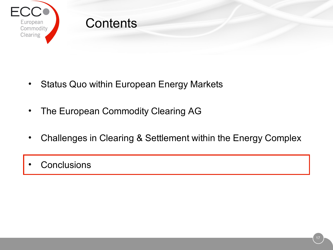

- Status Quo within European Energy Markets
- The European Commodity Clearing AG
- Challenges in Clearing & Settlement within the Energy Complex
- **Conclusions**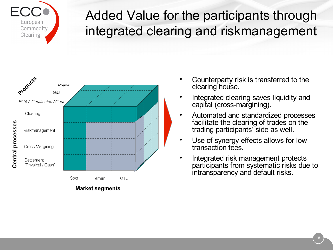

### Added Value for the participants through integrated clearing and riskmanagement



- Counterparty risk is transferred to the clearing house.
- Integrated clearing saves liquidity and capital (cross-margining).
- Automated and standardized processes facilitate the clearing of trades on the trading participants' side as well.
- Use of synergy effects allows for low transaction fees**.**
- Integrated risk management protects participants from systematic risks due to intransparency and default risks.